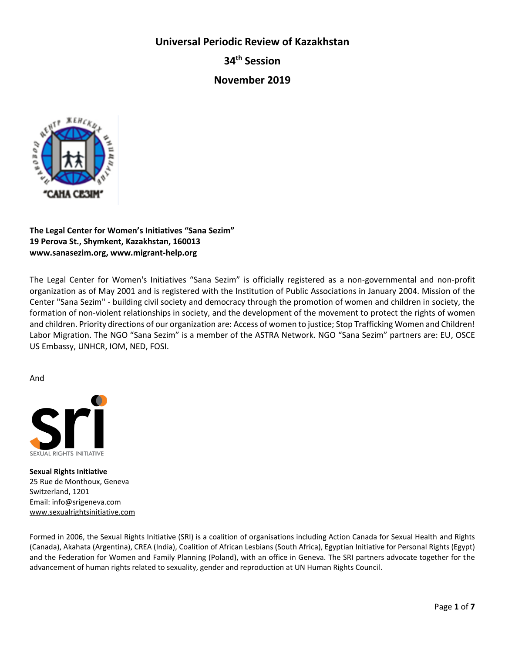**Universal Periodic Review of Kazakhstan**

**34th Session**

**November 2019**



# **The Legal Center for Women's Initiatives "Sana Sezim" 19 Perova St., Shymkent, Kazakhstan, 160013 [www.sanasezim.org,](http://www.sanasezim.org/) [www.migrant-help.org](http://www.migrant-help.org/)**

The Legal Center for Women's Initiatives "Sana Sezim" is officially registered as a non-governmental and non-profit organization as of May 2001 and is registered with the Institution of Public Associations in January 2004. Mission of the Center "Sana Sezim" - building civil society and democracy through the promotion of women and children in society, the formation of non-violent relationships in society, and the development of the movement to protect the rights of women and children. Priority directions of our organization are: Access of women to justice; Stop Trafficking Women and Children! Labor Migration. The NGO "Sana Sezim" is a member of the ASTRA Network. NGO "Sana Sezim" partners are: EU, OSCE US Embassy, UNHCR, IOM, NED, FOSI.

And



**Sexual Rights Initiative**  25 Rue de Monthoux, Geneva Switzerland, 1201 Email: info@srigeneva.com [www.sexualrightsinitiative.com](http://www.sexualrightsinitiative.com/) 

Formed in 2006, the Sexual Rights Initiative (SRI) is a coalition of organisations including Action Canada for Sexual Health and Rights (Canada), Akahata (Argentina), CREA (India), Coalition of African Lesbians (South Africa), Egyptian Initiative for Personal Rights (Egypt) and the Federation for Women and Family Planning (Poland), with an office in Geneva. The SRI partners advocate together for the advancement of human rights related to sexuality, gender and reproduction at UN Human Rights Council.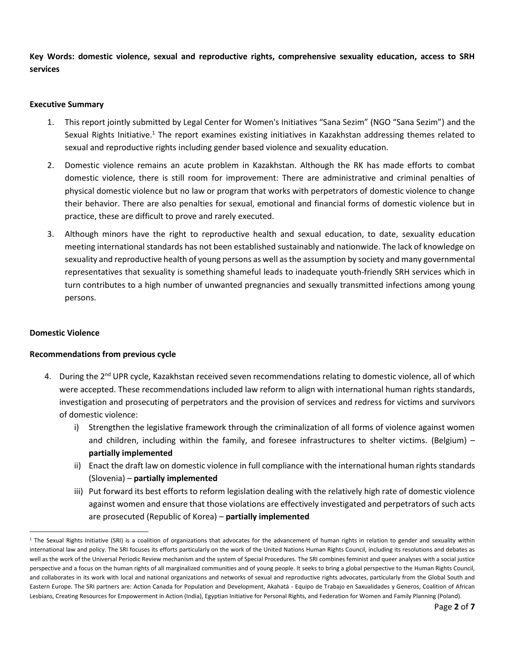**Key Words: domestic violence, sexual and reproductive rights, comprehensive sexuality education, access to SRH services**

### **Executive Summary**

- 1. This report jointly submitted by Legal Center for Women's Initiatives "Sana Sezim" (NGO "Sana Sezim") and the Sexual Rights Initiative.<sup>1</sup> The report examines existing initiatives in Kazakhstan addressing themes related to sexual and reproductive rights including gender based violence and sexuality education.
- 2. Domestic violence remains an acute problem in Kazakhstan. Although the RK has made efforts to combat domestic violence, there is still room for improvement: There are administrative and criminal penalties of physical domestic violence but no law or program that works with perpetrators of domestic violence to change their behavior. There are also penalties for sexual, emotional and financial forms of domestic violence but in practice, these are difficult to prove and rarely executed.
- 3. Although minors have the right to reproductive health and sexual education, to date, sexuality education meeting international standards has not been established sustainably and nationwide. The lack of knowledge on sexuality and reproductive health of young persons as well as the assumption by society and many governmental representatives that sexuality is something shameful leads to inadequate youth-friendly SRH services which in turn contributes to a high number of unwanted pregnancies and sexually transmitted infections among young persons.

### **Domestic Violence**

 $\overline{a}$ 

#### **Recommendations from previous cycle**

- 4. During the 2<sup>nd</sup> UPR cycle, Kazakhstan received seven recommendations relating to domestic violence, all of which were accepted. These recommendations included law reform to align with international human rights standards, investigation and prosecuting of perpetrators and the provision of services and redress for victims and survivors of domestic violence:
	- i) Strengthen the legislative framework through the criminalization of all forms of violence against women and children, including within the family, and foresee infrastructures to shelter victims. (Belgium) **partially implemented**
	- ii) Enact the draft law on domestic violence in full compliance with the international human rights standards (Slovenia) – **partially implemented**
	- iii) Put forward its best efforts to reform legislation dealing with the relatively high rate of domestic violence against women and ensure that those violations are effectively investigated and perpetrators of such acts are prosecuted (Republic of Korea) – **partially implemented**

<sup>&</sup>lt;sup>1</sup> The Sexual Rights Initiative (SRI) is a coalition of organizations that advocates for the advancement of human rights in relation to gender and sexuality within international law and policy. The SRI focuses its efforts particularly on the work of the United Nations Human Rights Council, including its resolutions and debates as well as the work of the Universal Periodic Review mechanism and the system of Special Procedures. The SRI combines feminist and queer analyses with a social justice perspective and a focus on the human rights of all marginalized communities and of young people. It seeks to bring a global perspective to the Human Rights Council, and collaborates in its work with local and national organizations and networks of sexual and reproductive rights advocates, particularly from the Global South and Eastern Europe. The SRI partners are: Action Canada for Population and Development, Akahatá - Equipo de Trabajo en Saxualidades y Generos, Coalition of African Lesbians, Creating Resources for Empowerment in Action (India), Egyptian Initiative for Personal Rights, and Federation for Women and Family Planning (Poland).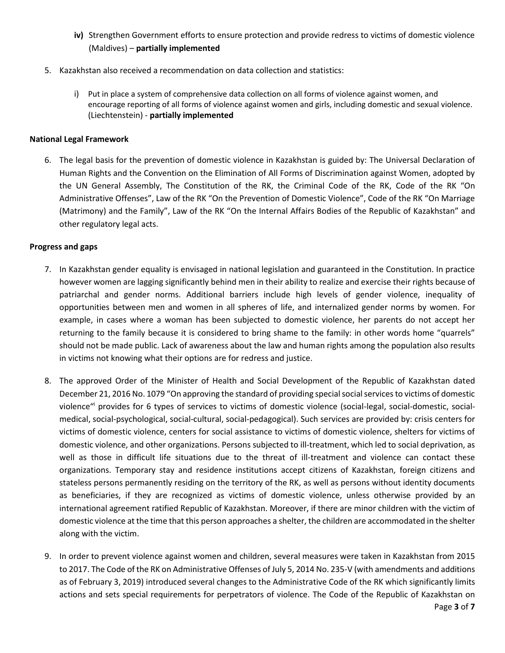- **iv)** Strengthen Government efforts to ensure protection and provide redress to victims of domestic violence (Maldives) – **partially implemented**
- 5. Kazakhstan also received a recommendation on data collection and statistics:
	- i) Put in place a system of comprehensive data collection on all forms of violence against women, and encourage reporting of all forms of violence against women and girls, including domestic and sexual violence. (Liechtenstein) - **partially implemented**

#### **National Legal Framework**

6. The legal basis for the prevention of domestic violence in Kazakhstan is guided by: The Universal Declaration of Human Rights and the Convention on the Elimination of All Forms of Discrimination against Women, adopted by the UN General Assembly, The Constitution of the RK, the Criminal Code of the RK, Code of the RK "On Administrative Offenses", Law of the RK "On the Prevention of Domestic Violence", Code of the RK "On Marriage (Matrimony) and the Family", Law of the RK "On the Internal Affairs Bodies of the Republic of Kazakhstan" and other regulatory legal acts.

#### **Progress and gaps**

- 7. In Kazakhstan gender equality is envisaged in national legislation and guaranteed in the Constitution. In practice however women are lagging significantly behind men in their ability to realize and exercise their rights because of patriarchal and gender norms. Additional barriers include high levels of gender violence, inequality of opportunities between men and women in all spheres of life, and internalized gender norms by women. For example, in cases where a woman has been subjected to domestic violence, her parents do not accept her returning to the family because it is considered to bring shame to the family: in other words home "quarrels" should not be made public. Lack of awareness about the law and human rights among the population also results in victims not knowing what their options are for redress and justice.
- 8. The approved Order of the Minister of Health and Social Development of the Republic of Kazakhstan dated December 21, 2016 No. 1079 "On approving the standard of providing special social services to victims of domestic violence"<sup>i</sup> provides for 6 types of services to victims of domestic violence (social-legal, social-domestic, socialmedical, social-psychological, social-cultural, social-pedagogical). Such services are provided by: crisis centers for victims of domestic violence, centers for social assistance to victims of domestic violence, shelters for victims of domestic violence, and other organizations. Persons subjected to ill-treatment, which led to social deprivation, as well as those in difficult life situations due to the threat of ill-treatment and violence can contact these organizations. Temporary stay and residence institutions accept citizens of Kazakhstan, foreign citizens and stateless persons permanently residing on the territory of the RK, as well as persons without identity documents as beneficiaries, if they are recognized as victims of domestic violence, unless otherwise provided by an international agreement ratified Republic of Kazakhstan. Moreover, if there are minor children with the victim of domestic violence at the time that this person approaches a shelter, the children are accommodated in the shelter along with the victim.
- 9. In order to prevent violence against women and children, several measures were taken in Kazakhstan from 2015 to 2017. The Code of the RK on Administrative Offenses of July 5, 2014 No. 235-V (with amendments and additions as of February 3, 2019) introduced several changes to the Administrative Code of the RK which significantly limits actions and sets special requirements for perpetrators of violence. The Code of the Republic of Kazakhstan on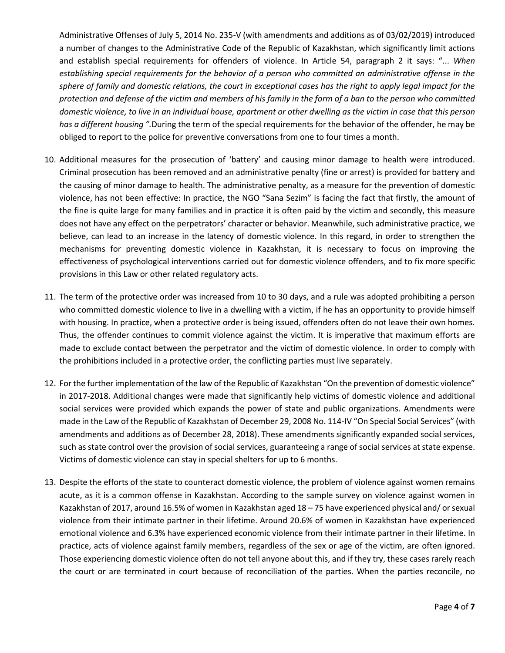Administrative Offenses of July 5, 2014 No. 235-V (with amendments and additions as of 03/02/2019) introduced a number of changes to the Administrative Code of the Republic of Kazakhstan, which significantly limit actions and establish special requirements for offenders of violence. In Article 54, paragraph 2 it says: "... *When establishing special requirements for the behavior of a person who committed an administrative offense in the sphere of family and domestic relations, the court in exceptional cases has the right to apply legal impact for the protection and defense of the victim and members of his family in the form of a ban to the person who committed domestic violence, to live in an individual house, apartment or other dwelling as the victim in case that this person has a different housing ".*During the term of the special requirements for the behavior of the offender, he may be obliged to report to the police for preventive conversations from one to four times a month.

- 10. Additional measures for the prosecution of 'battery' and causing minor damage to health were introduced. Criminal prosecution has been removed and an administrative penalty (fine or arrest) is provided for battery and the causing of minor damage to health. The administrative penalty, as a measure for the prevention of domestic violence, has not been effective: In practice, the NGO "Sana Sezim" is facing the fact that firstly, the amount of the fine is quite large for many families and in practice it is often paid by the victim and secondly, this measure does not have any effect on the perpetrators' character or behavior. Meanwhile, such administrative practice, we believe, can lead to an increase in the latency of domestic violence. In this regard, in order to strengthen the mechanisms for preventing domestic violence in Kazakhstan, it is necessary to focus on improving the effectiveness of psychological interventions carried out for domestic violence offenders, and to fix more specific provisions in this Law or other related regulatory acts.
- 11. The term of the protective order was increased from 10 to 30 days, and a rule was adopted prohibiting a person who committed domestic violence to live in a dwelling with a victim, if he has an opportunity to provide himself with housing. In practice, when a protective order is being issued, offenders often do not leave their own homes. Thus, the offender continues to commit violence against the victim. It is imperative that maximum efforts are made to exclude contact between the perpetrator and the victim of domestic violence. In order to comply with the prohibitions included in a protective order, the conflicting parties must live separately.
- 12. For the further implementation of the law of the Republic of Kazakhstan "On the prevention of domestic violence" in 2017-2018. Additional changes were made that significantly help victims of domestic violence and additional social services were provided which expands the power of state and public organizations. Amendments were made in the Law of the Republic of Kazakhstan of December 29, 2008 No. 114-IV "On Special Social Services" (with amendments and additions as of December 28, 2018). These amendments significantly expanded social services, such as state control over the provision of social services, guaranteeing a range of social services at state expense. Victims of domestic violence can stay in special shelters for up to 6 months.
- 13. Despite the efforts of the state to counteract domestic violence, the problem of violence against women remains acute, as it is a common offense in Kazakhstan. According to the sample survey on violence against women in Kazakhstan of 2017, around 16.5% of women in Kazakhstan aged 18 – 75 have experienced physical and/ or sexual violence from their intimate partner in their lifetime. Around 20.6% of women in Kazakhstan have experienced emotional violence and 6.3% have experienced economic violence from their intimate partner in their lifetime. In practice, acts of violence against family members, regardless of the sex or age of the victim, are often ignored. Those experiencing domestic violence often do not tell anyone about this, and if they try, these cases rarely reach the court or are terminated in court because of reconciliation of the parties. When the parties reconcile, no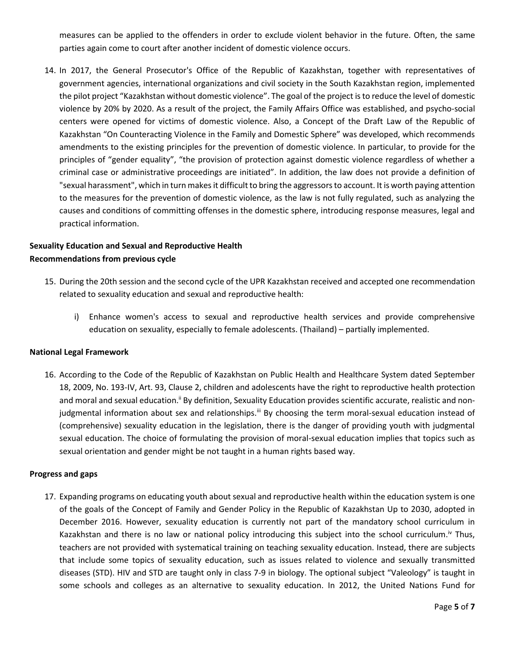measures can be applied to the offenders in order to exclude violent behavior in the future. Often, the same parties again come to court after another incident of domestic violence occurs.

14. In 2017, the General Prosecutor's Office of the Republic of Kazakhstan, together with representatives of government agencies, international organizations and civil society in the South Kazakhstan region, implemented the pilot project "Kazakhstan without domestic violence". The goal of the project is to reduce the level of domestic violence by 20% by 2020. As a result of the project, the Family Affairs Office was established, and psycho-social centers were opened for victims of domestic violence. Also, a Concept of the Draft Law of the Republic of Kazakhstan "On Counteracting Violence in the Family and Domestic Sphere" was developed, which recommends amendments to the existing principles for the prevention of domestic violence. In particular, to provide for the principles of "gender equality", "the provision of protection against domestic violence regardless of whether a criminal case or administrative proceedings are initiated". In addition, the law does not provide a definition of "sexual harassment", which in turn makes it difficult to bring the aggressors to account. It is worth paying attention to the measures for the prevention of domestic violence, as the law is not fully regulated, such as analyzing the causes and conditions of committing offenses in the domestic sphere, introducing response measures, legal and practical information.

## **Sexuality Education and Sexual and Reproductive Health Recommendations from previous cycle**

- 15. During the 20th session and the second cycle of the UPR Kazakhstan received and accepted one recommendation related to sexuality education and sexual and reproductive health:
	- i) Enhance women's access to sexual and reproductive health services and provide comprehensive education on sexuality, especially to female adolescents. (Thailand) – partially implemented.

### **National Legal Framework**

16. According to the Code of the Republic of Kazakhstan on Public Health and Healthcare System dated September 18, 2009, No. 193-IV, Art. 93, Clause 2, children and adolescents have the right to reproductive health protection and moral and sexual education.<sup>ii</sup> By definition, Sexuality Education provides scientific accurate, realistic and nonjudgmental information about sex and relationships.<sup>iii</sup> By choosing the term moral-sexual education instead of (comprehensive) sexuality education in the legislation, there is the danger of providing youth with judgmental sexual education. The choice of formulating the provision of moral-sexual education implies that topics such as sexual orientation and gender might be not taught in a human rights based way.

#### **Progress and gaps**

17. Expanding programs on educating youth about sexual and reproductive health within the education system is one of the goals of the Concept of Family and Gender Policy in the Republic of Kazakhstan Up to 2030, adopted in December 2016. However, sexuality education is currently not part of the mandatory school curriculum in Kazakhstan and there is no law or national policy introducing this subject into the school curriculum.<sup>iv</sup> Thus, teachers are not provided with systematical training on teaching sexuality education. Instead, there are subjects that include some topics of sexuality education, such as issues related to violence and sexually transmitted diseases (STD). HIV and STD are taught only in class 7-9 in biology. The optional subject "Valeology" is taught in some schools and colleges as an alternative to sexuality education. In 2012, the United Nations Fund for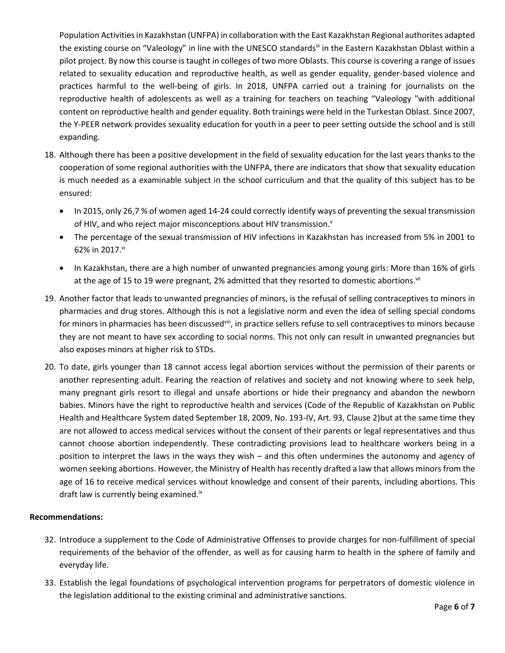Population Activities in Kazakhstan (UNFPA) in collaboration with the East Kazakhstan Regional authorites adapted the existing course on "Valeology" in line with the UNESCO standards<sup>iii</sup> in the Eastern Kazakhstan Oblast within a pilot project. By now this course is taught in colleges of two more Oblasts. This course is covering a range of issues related to sexuality education and reproductive health, as well as gender equality, gender-based violence and practices harmful to the well-being of girls. In 2018, UNFPA carried out a training for journalists on the reproductive health of adolescents as well as a training for teachers on teaching "Valeology "with additional content on reproductive health and gender equality. Both trainings were held in the Turkestan Oblast. Since 2007, the Y-PEER network provides sexuality education for youth in a peer to peer setting outside the school and is still expanding.

- 18. Although there has been a positive development in the field of sexuality education for the last years thanks to the cooperation of some regional authorities with the UNFPA, there are indicators that show that sexuality education is much needed as a examinable subject in the school curriculum and that the quality of this subject has to be ensured:
	- In 2015, only 26,7 % of women aged 14-24 could correctly identify ways of preventing the sexual transmission of HIV, and who reject major misconceptions about HIV transmission.<sup>v</sup>
	- The percentage of the sexual transmission of HIV infections in Kazakhstan has increased from 5% in 2001 to 62% in 2017.<sup>vi</sup>
	- In Kazakhstan, there are a high number of unwanted pregnancies among young girls: More than 16% of girls at the age of 15 to 19 were pregnant, 2% admitted that they resorted to domestic abortions. Vii
- 19. Another factor that leads to unwanted pregnancies of minors, is the refusal of selling contraceptives to minors in pharmacies and drug stores. Although this is not a legislative norm and even the idea of selling special condoms for minors in pharmacies has been discussed<sup>viii</sup>, in practice sellers refuse to sell contraceptives to minors because they are not meant to have sex according to social norms. This not only can result in unwanted pregnancies but also exposes minors at higher risk to STDs.
- 20. To date, girls younger than 18 cannot access legal abortion services without the permission of their parents or another representing adult. Fearing the reaction of relatives and society and not knowing where to seek help, many pregnant girls resort to illegal and unsafe abortions or hide their pregnancy and abandon the newborn babies. Minors have the right to reproductive health and services (Code of the Republic of Kazakhstan on Public Health and Healthcare System dated September 18, 2009, No. 193-IV, Art. 93, Clause 2)but at the same time they are not allowed to access medical services without the consent of their parents or legal representatives and thus cannot choose abortion independently. These contradicting provisions lead to healthcare workers being in a position to interpret the laws in the ways they wish – and this often undermines the autonomy and agency of women seeking abortions. However, the Ministry of Health has recently drafted a law that allows minors from the age of 16 to receive medical services without knowledge and consent of their parents, including abortions. This draft law is currently being examined.<sup>ix</sup>

### **Recommendations:**

- 32. Introduce a supplement to the Code of Administrative Offenses to provide charges for non-fulfillment of special requirements of the behavior of the offender, as well as for causing harm to health in the sphere of family and everyday life.
- 33. Establish the legal foundations of psychological intervention programs for perpetrators of domestic violence in the legislation additional to the existing criminal and administrative sanctions.